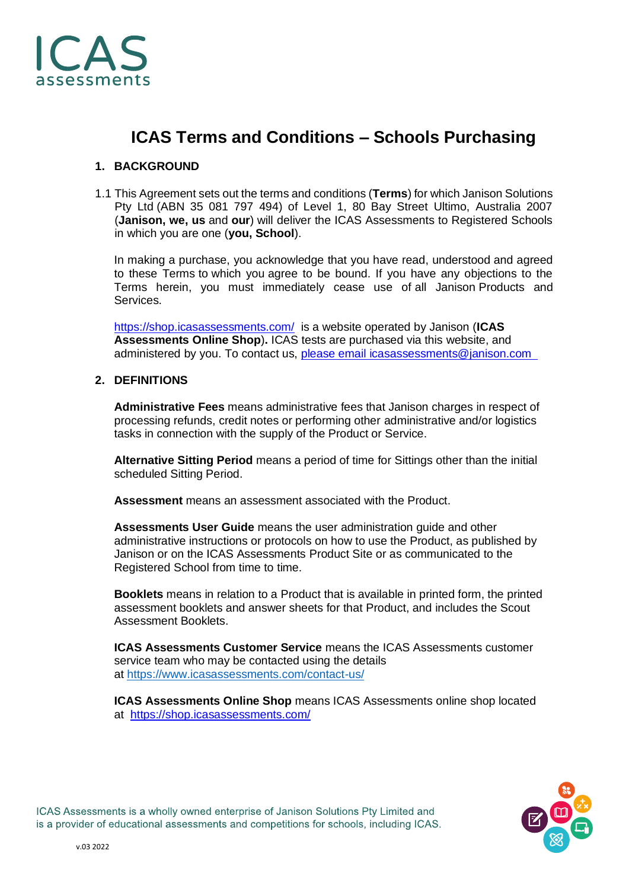

# **ICAS Terms and Conditions – Schools Purchasing**

# **1. BACKGROUND**

1.1 This Agreement sets out the terms and conditions (**Terms**) for which Janison Solutions Pty Ltd (ABN 35 081 797 494) of Level 1, 80 Bay Street Ultimo, Australia 2007 (**Janison, we, us** and **our**) will deliver the ICAS Assessments to Registered Schools in which you are one (**you, School**).

In making a purchase, you acknowledge that you have read, understood and agreed to these Terms to which you agree to be bound. If you have any objections to the Terms herein, you must immediately cease use of all Janison Products and Services.

<https://shop.icasassessments.com/>is a website operated by Janison (**ICAS Assessments Online Shop**)**.** ICAS tests are purchased via this website, and administered by you. To contact us, please email [icasassessments@janison.com](mailto:please email icasassessments@janison.com  ) 

#### **2. DEFINITIONS**

**Administrative Fees** means administrative fees that Janison charges in respect of processing refunds, credit notes or performing other administrative and/or logistics tasks in connection with the supply of the Product or Service.

**Alternative Sitting Period** means a period of time for Sittings other than the initial scheduled Sitting Period.

**Assessment** means an assessment associated with the Product.

**Assessments User Guide** means the user administration guide and other administrative instructions or protocols on how to use the Product, as published by Janison or on the ICAS Assessments Product Site or as communicated to the Registered School from time to time.

**Booklets** means in relation to a Product that is available in printed form, the printed assessment booklets and answer sheets for that Product, and includes the Scout Assessment Booklets.

**ICAS Assessments Customer Service** means the ICAS Assessments customer service team who may be contacted using the details at <https://www.icasassessments.com/contact-us/>

**ICAS Assessments Online Shop** means ICAS Assessments online shop located at <https://shop.icasassessments.com/>

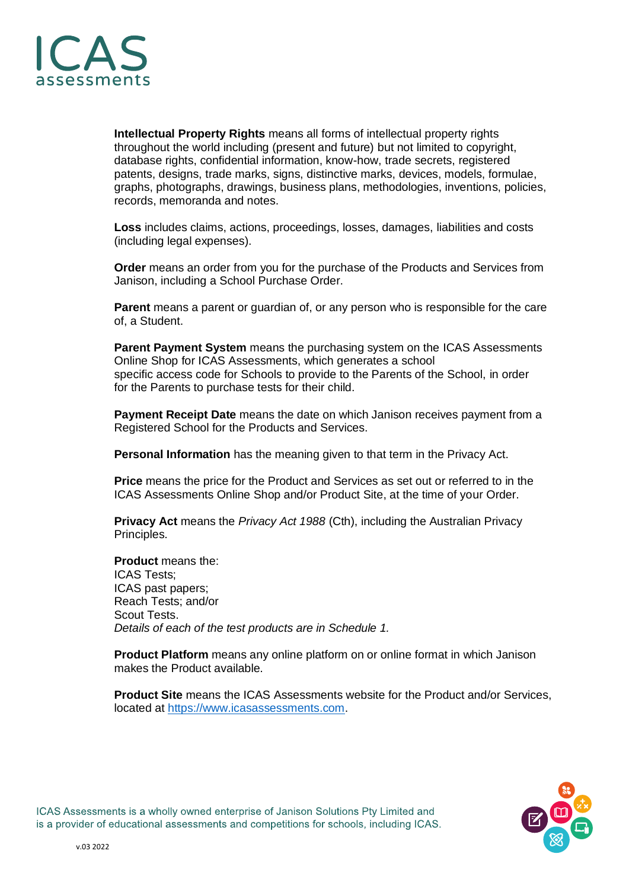

**Intellectual Property Rights** means all forms of intellectual property rights throughout the world including (present and future) but not limited to copyright, database rights, confidential information, know-how, trade secrets, registered patents, designs, trade marks, signs, distinctive marks, devices, models, formulae, graphs, photographs, drawings, business plans, methodologies, inventions, policies, records, memoranda and notes.

**Loss** includes claims, actions, proceedings, losses, damages, liabilities and costs (including legal expenses).

**Order** means an order from you for the purchase of the Products and Services from Janison, including a School Purchase Order.

**Parent** means a parent or guardian of, or any person who is responsible for the care of, a Student.

**Parent Payment System** means the purchasing system on the ICAS Assessments Online Shop for ICAS Assessments, which generates a school specific access code for Schools to provide to the Parents of the School, in order for the Parents to purchase tests for their child.

**Payment Receipt Date** means the date on which Janison receives payment from a Registered School for the Products and Services.

**Personal Information** has the meaning given to that term in the Privacy Act.

**Price** means the price for the Product and Services as set out or referred to in the ICAS Assessments Online Shop and/or Product Site, at the time of your Order.

**Privacy Act** means the *Privacy Act 1988* (Cth), including the Australian Privacy Principles.

**Product** means the: ICAS Tests; ICAS past papers; Reach Tests; and/or Scout Tests. *Details of each of the test products are in Schedule 1.*

**Product Platform** means any online platform on or online format in which Janison makes the Product available.

**Product Site** means the ICAS Assessments website for the Product and/or Services, located at [https://www.icasassessments.com.](https://www.icasassessments.com/products)

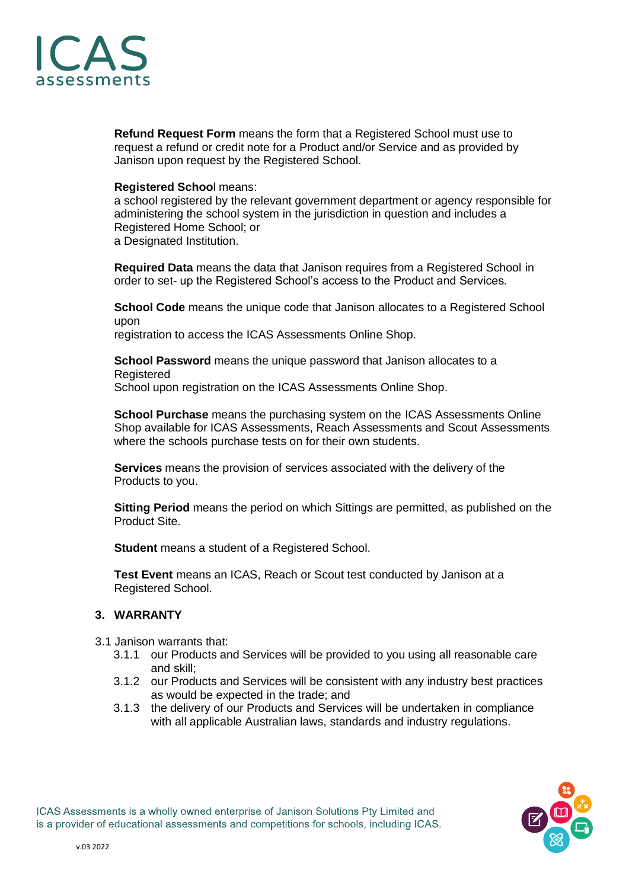

**Refund Request Form** means the form that a Registered School must use to request a refund or credit note for a Product and/or Service and as provided by Janison upon request by the Registered School.

#### **Registered Schoo**l means:

a school registered by the relevant government department or agency responsible for administering the school system in the jurisdiction in question and includes a Registered Home School; or a Designated Institution.

**Required Data** means the data that Janison requires from a Registered School in order to set- up the Registered School's access to the Product and Services.

**School Code** means the unique code that Janison allocates to a Registered School upon

registration to access the ICAS Assessments Online Shop.

**School Password** means the unique password that Janison allocates to a Registered School upon registration on the ICAS Assessments Online Shop.

**School Purchase** means the purchasing system on the ICAS Assessments Online Shop available for ICAS Assessments, Reach Assessments and Scout Assessments where the schools purchase tests on for their own students.

**Services** means the provision of services associated with the delivery of the Products to you.

**Sitting Period** means the period on which Sittings are permitted, as published on the Product Site.

**Student** means a student of a Registered School.

**Test Event** means an ICAS, Reach or Scout test conducted by Janison at a Registered School.

# **3. WARRANTY**

- 3.1 Janison warrants that:
	- 3.1.1 our Products and Services will be provided to you using all reasonable care and skill;
	- 3.1.2 our Products and Services will be consistent with any industry best practices as would be expected in the trade; and
	- 3.1.3 the delivery of our Products and Services will be undertaken in compliance with all applicable Australian laws, standards and industry regulations.

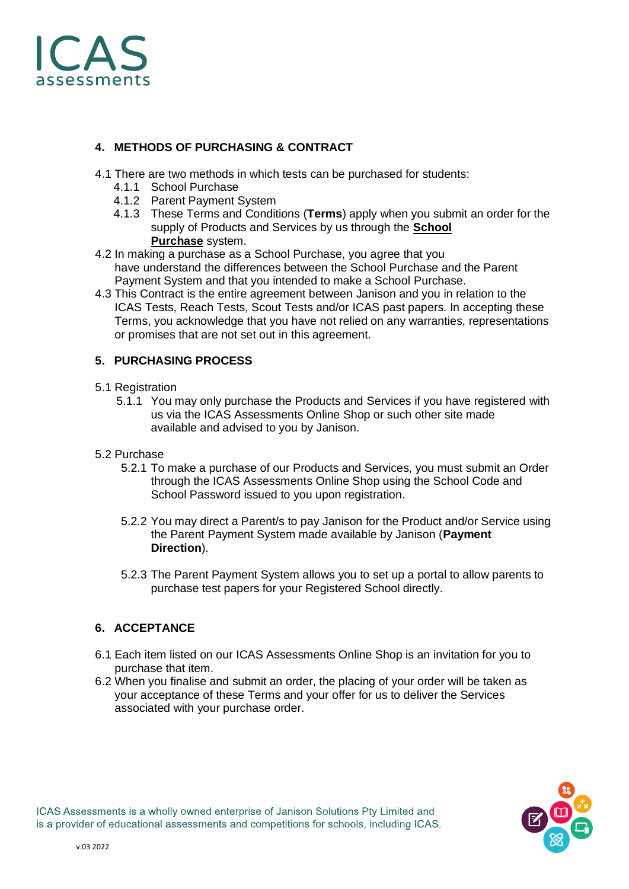

# **4. METHODS OF PURCHASING & CONTRACT**

- 4.1 There are two methods in which tests can be purchased for students:
	- 4.1.1 School Purchase
	- 4.1.2 Parent Payment System
	- 4.1.3 These Terms and Conditions (**Terms**) apply when you submit an order for the supply of Products and Services by us through the **School Purchase** system.
- 4.2 In making a purchase as a School Purchase, you agree that you have understand the differences between the School Purchase and the Parent Payment System and that you intended to make a School Purchase.
- 4.3 This Contract is the entire agreement between Janison and you in relation to the ICAS Tests, Reach Tests, Scout Tests and/or ICAS past papers. In accepting these Terms, you acknowledge that you have not relied on any warranties, representations or promises that are not set out in this agreement.

# **5. PURCHASING PROCESS**

- 5.1 Registration
	- 5.1.1 You may only purchase the Products and Services if you have registered with us via the ICAS Assessments Online Shop or such other site made available and advised to you by Janison.
- 5.2 Purchase
	- 5.2.1 To make a purchase of our Products and Services, you must submit an Order through the ICAS Assessments Online Shop using the School Code and School Password issued to you upon registration.
	- 5.2.2 You may direct a Parent/s to pay Janison for the Product and/or Service using the Parent Payment System made available by Janison (**Payment Direction**).
	- 5.2.3 The Parent Payment System allows you to set up a portal to allow parents to purchase test papers for your Registered School directly.

#### **6. ACCEPTANCE**

- 6.1 Each item listed on our ICAS Assessments Online Shop is an invitation for you to purchase that item.
- 6.2 When you finalise and submit an order, the placing of your order will be taken as your acceptance of these Terms and your offer for us to deliver the Services associated with your purchase order.

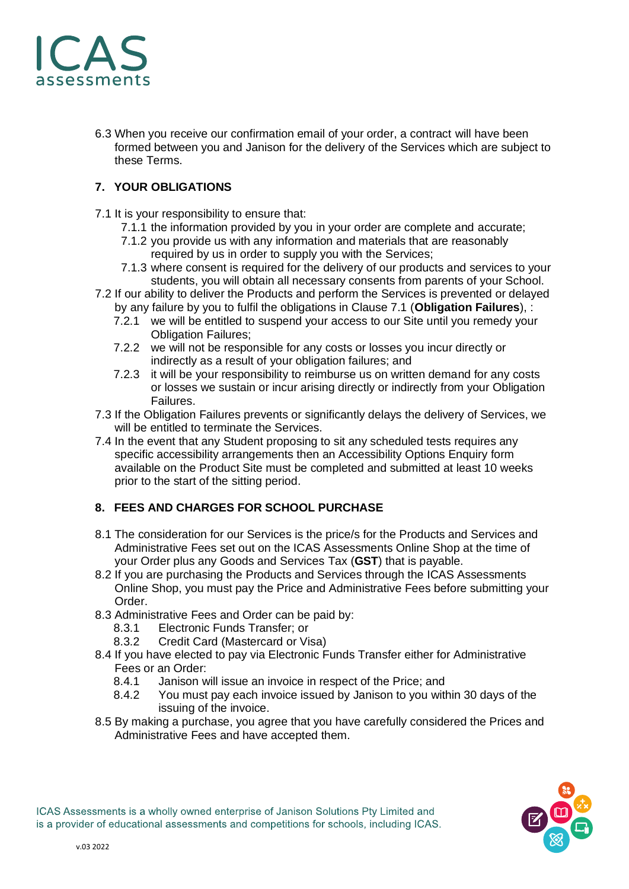

6.3 When you receive our confirmation email of your order, a contract will have been formed between you and Janison for the delivery of the Services which are subject to these Terms.

# **7. YOUR OBLIGATIONS**

- 7.1 It is your responsibility to ensure that:
	- 7.1.1 the information provided by you in your order are complete and accurate;
	- 7.1.2 you provide us with any information and materials that are reasonably required by us in order to supply you with the Services;
	- 7.1.3 where consent is required for the delivery of our products and services to your students, you will obtain all necessary consents from parents of your School.
- 7.2 If our ability to deliver the Products and perform the Services is prevented or delayed by any failure by you to fulfil the obligations in Clause 7.1 (**Obligation Failures**), :
	- 7.2.1 we will be entitled to suspend your access to our Site until you remedy your Obligation Failures;
	- 7.2.2 we will not be responsible for any costs or losses you incur directly or indirectly as a result of your obligation failures; and
	- 7.2.3 it will be your responsibility to reimburse us on written demand for any costs or losses we sustain or incur arising directly or indirectly from your Obligation Failures.
- 7.3 If the Obligation Failures prevents or significantly delays the delivery of Services, we will be entitled to terminate the Services.
- 7.4 In the event that any Student proposing to sit any scheduled tests requires any specific accessibility arrangements then an Accessibility Options Enquiry form available on the Product Site must be completed and submitted at least 10 weeks prior to the start of the sitting period.

#### **8. FEES AND CHARGES FOR SCHOOL PURCHASE**

- 8.1 The consideration for our Services is the price/s for the Products and Services and Administrative Fees set out on the ICAS Assessments Online Shop at the time of your Order plus any Goods and Services Tax (**GST**) that is payable.
- 8.2 If you are purchasing the Products and Services through the ICAS Assessments Online Shop, you must pay the Price and Administrative Fees before submitting your Order.
- 8.3 Administrative Fees and Order can be paid by:
	- 8.3.1 Electronic Funds Transfer; or
	- 8.3.2 Credit Card (Mastercard or Visa)
- 8.4 If you have elected to pay via Electronic Funds Transfer either for Administrative Fees or an Order:
	- 8.4.1 Janison will issue an invoice in respect of the Price; and
	- 8.4.2 You must pay each invoice issued by Janison to you within 30 days of the issuing of the invoice.
- 8.5 By making a purchase, you agree that you have carefully considered the Prices and Administrative Fees and have accepted them.

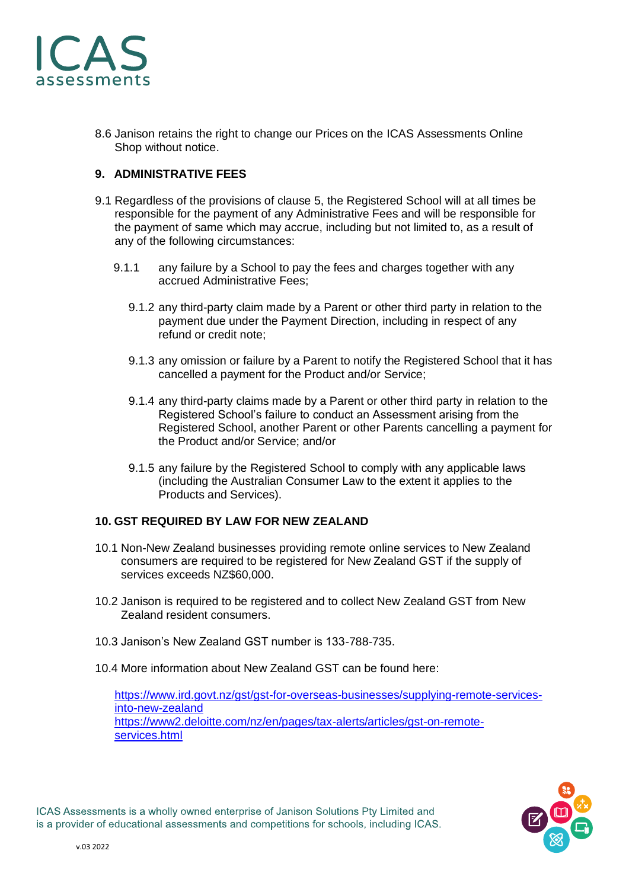

8.6 Janison retains the right to change our Prices on the ICAS Assessments Online Shop without notice.

# **9. ADMINISTRATIVE FEES**

- 9.1 Regardless of the provisions of clause 5, the Registered School will at all times be responsible for the payment of any Administrative Fees and will be responsible for the payment of same which may accrue, including but not limited to, as a result of any of the following circumstances:
	- 9.1.1 any failure by a School to pay the fees and charges together with any accrued Administrative Fees;
		- 9.1.2 any third-party claim made by a Parent or other third party in relation to the payment due under the Payment Direction, including in respect of any refund or credit note;
		- 9.1.3 any omission or failure by a Parent to notify the Registered School that it has cancelled a payment for the Product and/or Service;
		- 9.1.4 any third-party claims made by a Parent or other third party in relation to the Registered School's failure to conduct an Assessment arising from the Registered School, another Parent or other Parents cancelling a payment for the Product and/or Service; and/or
		- 9.1.5 any failure by the Registered School to comply with any applicable laws (including the Australian Consumer Law to the extent it applies to the Products and Services).

# **10. GST REQUIRED BY LAW FOR NEW ZEALAND**

- 10.1 Non-New Zealand businesses providing remote online services to New Zealand consumers are required to be registered for New Zealand GST if the supply of services exceeds NZ\$60,000.
- 10.2 Janison is required to be registered and to collect New Zealand GST from New Zealand resident consumers.
- 10.3 Janison's New Zealand GST number is 133-788-735.
- 10.4 More information about New Zealand GST can be found here:

[https://www.ird.govt.nz/gst/gst-for-overseas-businesses/supplying-remote-services](https://www.ird.govt.nz/gst/gst-for-overseas-businesses/supplying-remote-services-into-new-zealand)[into-new-zealand](https://www.ird.govt.nz/gst/gst-for-overseas-businesses/supplying-remote-services-into-new-zealand) [https://www2.deloitte.com/nz/en/pages/tax-alerts/articles/gst-on-remote](https://www2.deloitte.com/nz/en/pages/tax-alerts/articles/gst-on-remote-services.html)[services.html](https://www2.deloitte.com/nz/en/pages/tax-alerts/articles/gst-on-remote-services.html)

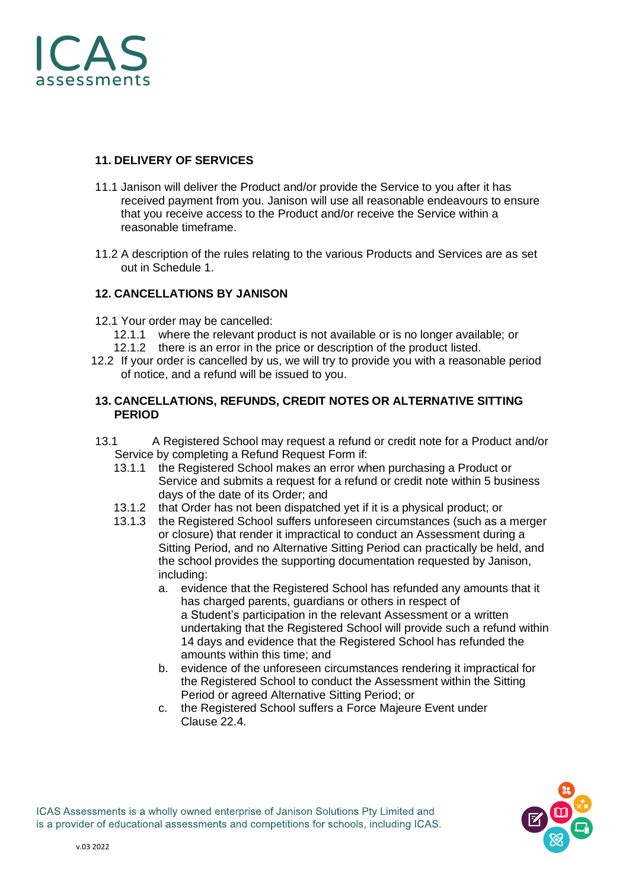

#### **11. DELIVERY OF SERVICES**

- 11.1 Janison will deliver the Product and/or provide the Service to you after it has received payment from you. Janison will use all reasonable endeavours to ensure that you receive access to the Product and/or receive the Service within a reasonable timeframe.
- 11.2 A description of the rules relating to the various Products and Services are as set out in Schedule 1.

# **12. CANCELLATIONS BY JANISON**

- 12.1 Your order may be cancelled:
	- 12.1.1 where the relevant product is not available or is no longer available; or
	- 12.1.2 there is an error in the price or description of the product listed.
- 12.2 If your order is cancelled by us, we will try to provide you with a reasonable period of notice, and a refund will be issued to you.

#### **13. CANCELLATIONS, REFUNDS, CREDIT NOTES OR ALTERNATIVE SITTING PERIOD**

- 13.1 A Registered School may request a refund or credit note for a Product and/or Service by completing a Refund Request Form if:
	- 13.1.1 the Registered School makes an error when purchasing a Product or Service and submits a request for a refund or credit note within 5 business days of the date of its Order; and
	- 13.1.2 that Order has not been dispatched yet if it is a physical product; or
	- 13.1.3 the Registered School suffers unforeseen circumstances (such as a merger or closure) that render it impractical to conduct an Assessment during a Sitting Period, and no Alternative Sitting Period can practically be held, and the school provides the supporting documentation requested by Janison, including:
		- a. evidence that the Registered School has refunded any amounts that it has charged parents, guardians or others in respect of a Student's participation in the relevant Assessment or a written undertaking that the Registered School will provide such a refund within 14 days and evidence that the Registered School has refunded the amounts within this time; and
		- b. evidence of the unforeseen circumstances rendering it impractical for the Registered School to conduct the Assessment within the Sitting Period or agreed Alternative Sitting Period; or
		- c. the Registered School suffers a Force Majeure Event under Clause 22.4.

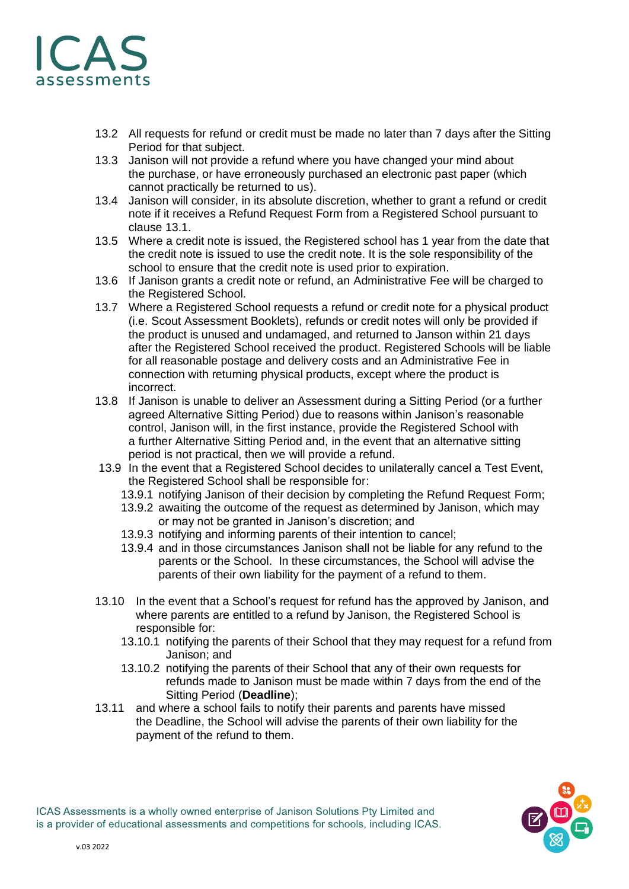

- 13.2 All requests for refund or credit must be made no later than 7 days after the Sitting Period for that subject.
- 13.3 Janison will not provide a refund where you have changed your mind about the purchase, or have erroneously purchased an electronic past paper (which cannot practically be returned to us).
- 13.4 Janison will consider, in its absolute discretion, whether to grant a refund or credit note if it receives a Refund Request Form from a Registered School pursuant to clause 13.1.
- 13.5 Where a credit note is issued, the Registered school has 1 year from the date that the credit note is issued to use the credit note. It is the sole responsibility of the school to ensure that the credit note is used prior to expiration.
- 13.6 If Janison grants a credit note or refund, an Administrative Fee will be charged to the Registered School.
- 13.7 Where a Registered School requests a refund or credit note for a physical product (i.e. Scout Assessment Booklets), refunds or credit notes will only be provided if the product is unused and undamaged, and returned to Janson within 21 days after the Registered School received the product. Registered Schools will be liable for all reasonable postage and delivery costs and an Administrative Fee in connection with returning physical products, except where the product is incorrect.
- 13.8 If Janison is unable to deliver an Assessment during a Sitting Period (or a further agreed Alternative Sitting Period) due to reasons within Janison's reasonable control, Janison will, in the first instance, provide the Registered School with a further Alternative Sitting Period and, in the event that an alternative sitting period is not practical, then we will provide a refund.
- 13.9 In the event that a Registered School decides to unilaterally cancel a Test Event, the Registered School shall be responsible for:
	- 13.9.1 notifying Janison of their decision by completing the Refund Request Form;
	- 13.9.2 awaiting the outcome of the request as determined by Janison, which may or may not be granted in Janison's discretion; and
	- 13.9.3 notifying and informing parents of their intention to cancel;
	- 13.9.4 and in those circumstances Janison shall not be liable for any refund to the parents or the School. In these circumstances, the School will advise the parents of their own liability for the payment of a refund to them.
- 13.10 In the event that a School's request for refund has the approved by Janison, and where parents are entitled to a refund by Janison, the Registered School is responsible for:
	- 13.10.1 notifying the parents of their School that they may request for a refund from Janison; and
	- 13.10.2 notifying the parents of their School that any of their own requests for refunds made to Janison must be made within 7 days from the end of the Sitting Period (**Deadline**);
- 13.11 and where a school fails to notify their parents and parents have missed the Deadline, the School will advise the parents of their own liability for the payment of the refund to them.

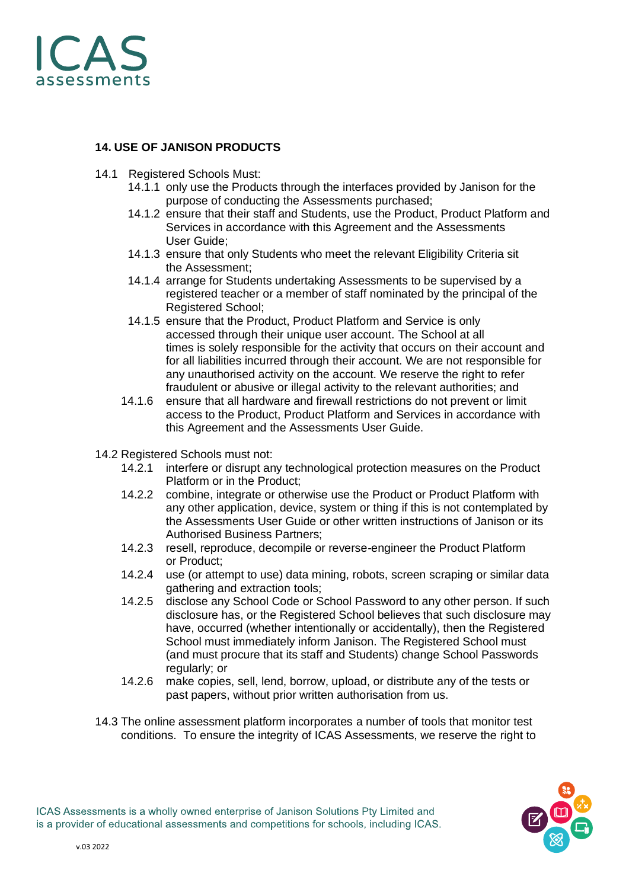

# **14. USE OF JANISON PRODUCTS**

- 14.1 Registered Schools Must:
	- 14.1.1 only use the Products through the interfaces provided by Janison for the purpose of conducting the Assessments purchased;
	- 14.1.2 ensure that their staff and Students, use the Product, Product Platform and Services in accordance with this Agreement and the Assessments User Guide;
	- 14.1.3 ensure that only Students who meet the relevant Eligibility Criteria sit the Assessment;
	- 14.1.4 arrange for Students undertaking Assessments to be supervised by a registered teacher or a member of staff nominated by the principal of the Registered School;
	- 14.1.5 ensure that the Product, Product Platform and Service is only accessed through their unique user account. The School at all times is solely responsible for the activity that occurs on their account and for all liabilities incurred through their account. We are not responsible for any unauthorised activity on the account. We reserve the right to refer fraudulent or abusive or illegal activity to the relevant authorities; and
	- 14.1.6 ensure that all hardware and firewall restrictions do not prevent or limit access to the Product, Product Platform and Services in accordance with this Agreement and the Assessments User Guide.
- 14.2 Registered Schools must not:
	- 14.2.1 interfere or disrupt any technological protection measures on the Product Platform or in the Product;
	- 14.2.2 combine, integrate or otherwise use the Product or Product Platform with any other application, device, system or thing if this is not contemplated by the Assessments User Guide or other written instructions of Janison or its Authorised Business Partners;
	- 14.2.3 resell, reproduce, decompile or reverse-engineer the Product Platform or Product;
	- 14.2.4 use (or attempt to use) data mining, robots, screen scraping or similar data gathering and extraction tools;
	- 14.2.5 disclose any School Code or School Password to any other person. If such disclosure has, or the Registered School believes that such disclosure may have, occurred (whether intentionally or accidentally), then the Registered School must immediately inform Janison. The Registered School must (and must procure that its staff and Students) change School Passwords regularly; or
	- 14.2.6 make copies, sell, lend, borrow, upload, or distribute any of the tests or past papers, without prior written authorisation from us.
- 14.3 The online assessment platform incorporates a number of tools that monitor test conditions. To ensure the integrity of ICAS Assessments, we reserve the right to

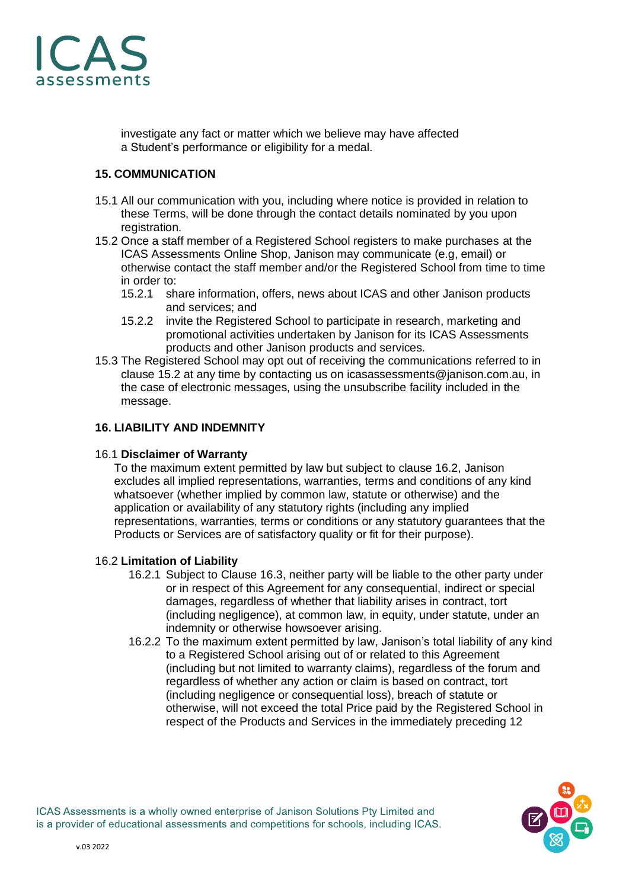

investigate any fact or matter which we believe may have affected a Student's performance or eligibility for a medal.

# **15. COMMUNICATION**

- 15.1 All our communication with you, including where notice is provided in relation to these Terms, will be done through the contact details nominated by you upon registration.
- 15.2 Once a staff member of a Registered School registers to make purchases at the ICAS Assessments Online Shop, Janison may communicate (e.g, email) or otherwise contact the staff member and/or the Registered School from time to time in order to:
	- 15.2.1 share information, offers, news about ICAS and other Janison products and services; and
	- 15.2.2 invite the Registered School to participate in research, marketing and promotional activities undertaken by Janison for its ICAS Assessments products and other Janison products and services.
- 15.3 The Registered School may opt out of receiving the communications referred to in clause 15.2 at any time by contacting us on icasassessments@janison.com.au, in the case of electronic messages, using the unsubscribe facility included in the message.

# **16. LIABILITY AND INDEMNITY**

#### 16.1 **Disclaimer of Warranty**

To the maximum extent permitted by law but subject to clause 16.2, Janison excludes all implied representations, warranties, terms and conditions of any kind whatsoever (whether implied by common law, statute or otherwise) and the application or availability of any statutory rights (including any implied representations, warranties, terms or conditions or any statutory guarantees that the Products or Services are of satisfactory quality or fit for their purpose).

#### 16.2 **Limitation of Liability**

- 16.2.1 Subject to Clause 16.3, neither party will be liable to the other party under or in respect of this Agreement for any consequential, indirect or special damages, regardless of whether that liability arises in contract, tort (including negligence), at common law, in equity, under statute, under an indemnity or otherwise howsoever arising.
- 16.2.2 To the maximum extent permitted by law, Janison's total liability of any kind to a Registered School arising out of or related to this Agreement (including but not limited to warranty claims), regardless of the forum and regardless of whether any action or claim is based on contract, tort (including negligence or consequential loss), breach of statute or otherwise, will not exceed the total Price paid by the Registered School in respect of the Products and Services in the immediately preceding 12

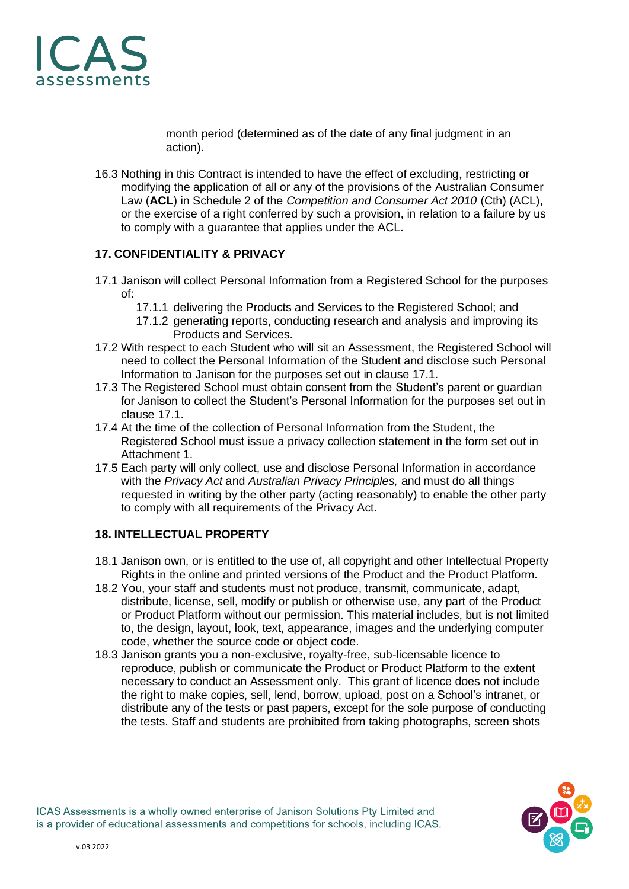

month period (determined as of the date of any final judgment in an action).

16.3 Nothing in this Contract is intended to have the effect of excluding, restricting or modifying the application of all or any of the provisions of the Australian Consumer Law (**ACL**) in Schedule 2 of the *Competition and Consumer Act 2010* (Cth) (ACL), or the exercise of a right conferred by such a provision, in relation to a failure by us to comply with a guarantee that applies under the ACL.

# **17. CONFIDENTIALITY & PRIVACY**

- 17.1 Janison will collect Personal Information from a Registered School for the purposes of:
	- 17.1.1 delivering the Products and Services to the Registered School; and
	- 17.1.2 generating reports, conducting research and analysis and improving its Products and Services.
- 17.2 With respect to each Student who will sit an Assessment, the Registered School will need to collect the Personal Information of the Student and disclose such Personal Information to Janison for the purposes set out in clause 17.1.
- 17.3 The Registered School must obtain consent from the Student's parent or guardian for Janison to collect the Student's Personal Information for the purposes set out in clause 17.1.
- 17.4 At the time of the collection of Personal Information from the Student, the Registered School must issue a privacy collection statement in the form set out in Attachment 1.
- 17.5 Each party will only collect, use and disclose Personal Information in accordance with the *Privacy Act* and *Australian Privacy Principles,* and must do all things requested in writing by the other party (acting reasonably) to enable the other party to comply with all requirements of the Privacy Act.

#### **18. INTELLECTUAL PROPERTY**

- 18.1 Janison own, or is entitled to the use of, all copyright and other Intellectual Property Rights in the online and printed versions of the Product and the Product Platform.
- 18.2 You, your staff and students must not produce, transmit, communicate, adapt, distribute, license, sell, modify or publish or otherwise use, any part of the Product or Product Platform without our permission. This material includes, but is not limited to, the design, layout, look, text, appearance, images and the underlying computer code, whether the source code or object code.
- 18.3 Janison grants you a non-exclusive, royalty-free, sub-licensable licence to reproduce, publish or communicate the Product or Product Platform to the extent necessary to conduct an Assessment only. This grant of licence does not include the right to make copies, sell, lend, borrow, upload, post on a School's intranet, or distribute any of the tests or past papers, except for the sole purpose of conducting the tests. Staff and students are prohibited from taking photographs, screen shots

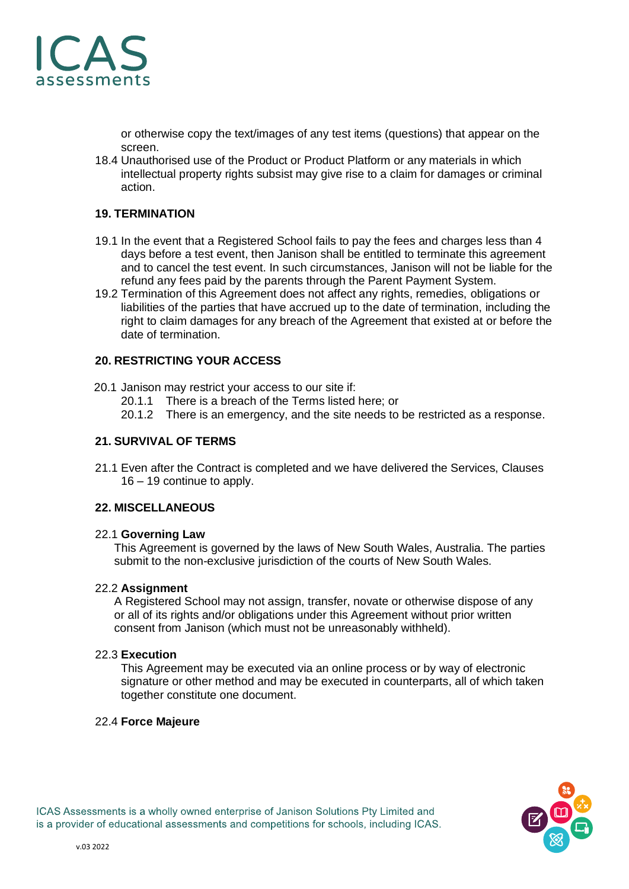

or otherwise copy the text/images of any test items (questions) that appear on the screen.

18.4 Unauthorised use of the Product or Product Platform or any materials in which intellectual property rights subsist may give rise to a claim for damages or criminal action.

#### **19. TERMINATION**

- 19.1 In the event that a Registered School fails to pay the fees and charges less than 4 days before a test event, then Janison shall be entitled to terminate this agreement and to cancel the test event. In such circumstances, Janison will not be liable for the refund any fees paid by the parents through the Parent Payment System.
- 19.2 Termination of this Agreement does not affect any rights, remedies, obligations or liabilities of the parties that have accrued up to the date of termination, including the right to claim damages for any breach of the Agreement that existed at or before the date of termination.

#### **20. RESTRICTING YOUR ACCESS**

- 20.1 Janison may restrict your access to our site if:
	- 20.1.1 There is a breach of the Terms listed here; or
	- 20.1.2 There is an emergency, and the site needs to be restricted as a response.

#### **21. SURVIVAL OF TERMS**

21.1 Even after the Contract is completed and we have delivered the Services, Clauses 16 – 19 continue to apply.

#### **22. MISCELLANEOUS**

#### 22.1 **Governing Law**

This Agreement is governed by the laws of New South Wales, Australia. The parties submit to the non-exclusive jurisdiction of the courts of New South Wales.

#### 22.2 **Assignment**

A Registered School may not assign, transfer, novate or otherwise dispose of any or all of its rights and/or obligations under this Agreement without prior written consent from Janison (which must not be unreasonably withheld).

#### 22.3 **Execution**

This Agreement may be executed via an online process or by way of electronic signature or other method and may be executed in counterparts, all of which taken together constitute one document.

#### 22.4 **Force Majeure**

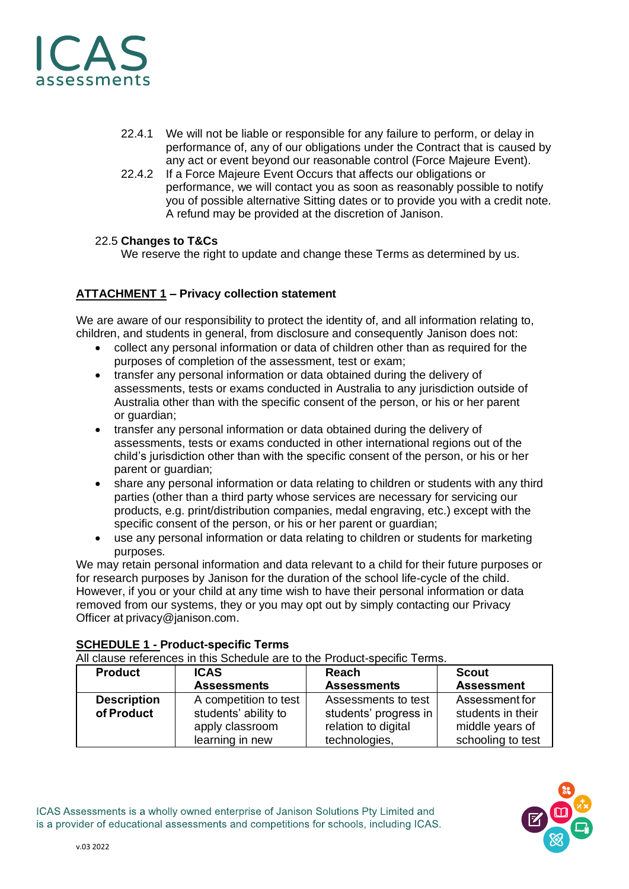

- 22.4.1 We will not be liable or responsible for any failure to perform, or delay in performance of, any of our obligations under the Contract that is caused by any act or event beyond our reasonable control (Force Majeure Event).
- 22.4.2 If a Force Majeure Event Occurs that affects our obligations or performance, we will contact you as soon as reasonably possible to notify you of possible alternative Sitting dates or to provide you with a credit note. A refund may be provided at the discretion of Janison.

#### 22.5 **Changes to T&Cs**

We reserve the right to update and change these Terms as determined by us.

# **ATTACHMENT 1 – Privacy collection statement**

We are aware of our responsibility to protect the identity of, and all information relating to, children, and students in general, from disclosure and consequently Janison does not:

- collect any personal information or data of children other than as required for the purposes of completion of the assessment, test or exam;
- transfer any personal information or data obtained during the delivery of assessments, tests or exams conducted in Australia to any jurisdiction outside of Australia other than with the specific consent of the person, or his or her parent or guardian;
- transfer any personal information or data obtained during the delivery of assessments, tests or exams conducted in other international regions out of the child's jurisdiction other than with the specific consent of the person, or his or her parent or guardian;
- share any personal information or data relating to children or students with any third parties (other than a third party whose services are necessary for servicing our products, e.g. print/distribution companies, medal engraving, etc.) except with the specific consent of the person, or his or her parent or guardian;
- use any personal information or data relating to children or students for marketing purposes.

We may retain personal information and data relevant to a child for their future purposes or for research purposes by Janison for the duration of the school life-cycle of the child. However, if you or your child at any time wish to have their personal information or data removed from our systems, they or you may opt out by simply contacting our Privacy Officer at privacy@janison.com.

#### **SCHEDULE 1 - Product-specific Terms**

All clause references in this Schedule are to the Product-specific Terms. 

| <b>Product</b>                   | <b>ICAS</b>                                                                         | <b>Reach</b>                                                                         | <b>Scout</b>                                                                |
|----------------------------------|-------------------------------------------------------------------------------------|--------------------------------------------------------------------------------------|-----------------------------------------------------------------------------|
|                                  | <b>Assessments</b>                                                                  | <b>Assessments</b>                                                                   | <b>Assessment</b>                                                           |
| <b>Description</b><br>of Product | A competition to test<br>students' ability to<br>apply classroom<br>learning in new | Assessments to test<br>students' progress in<br>relation to digital<br>technologies, | Assessment for<br>students in their<br>middle years of<br>schooling to test |

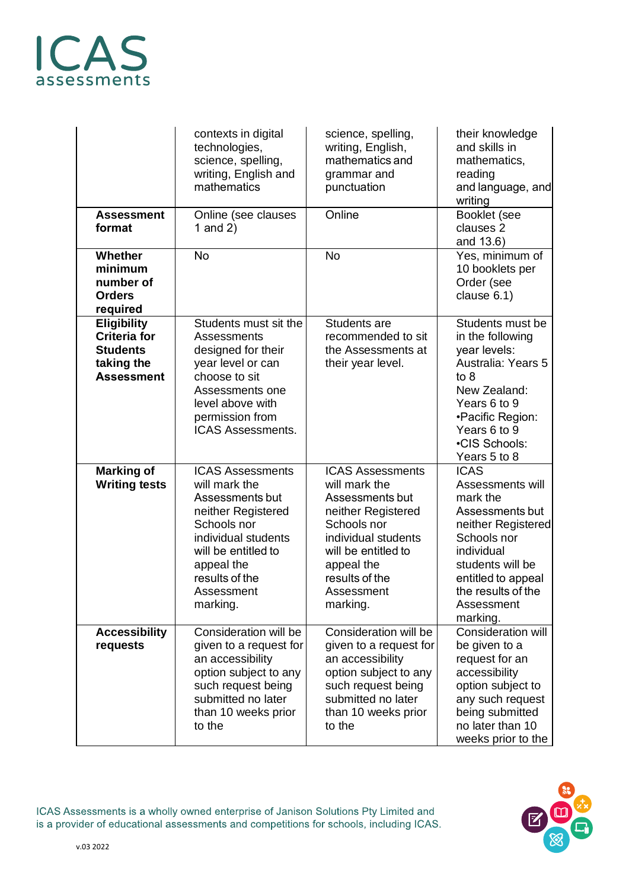# CAS assessments

| <b>Assessment</b><br>format                                                                     | contexts in digital<br>technologies,<br>science, spelling,<br>writing, English and<br>mathematics<br>Online (see clauses<br>1 and $2)$                                                                   | science, spelling,<br>writing, English,<br>mathematics and<br>grammar and<br>punctuation<br>Online                                                                                                       | their knowledge<br>and skills in<br>mathematics,<br>reading<br>and language, and<br>writing<br>Booklet (see<br>clauses 2<br>and 13.6)                                                                       |
|-------------------------------------------------------------------------------------------------|----------------------------------------------------------------------------------------------------------------------------------------------------------------------------------------------------------|----------------------------------------------------------------------------------------------------------------------------------------------------------------------------------------------------------|-------------------------------------------------------------------------------------------------------------------------------------------------------------------------------------------------------------|
| Whether<br>minimum<br>number of<br><b>Orders</b><br>required                                    | <b>No</b>                                                                                                                                                                                                | <b>No</b>                                                                                                                                                                                                | Yes, minimum of<br>10 booklets per<br>Order (see<br>clause 6.1)                                                                                                                                             |
| <b>Eligibility</b><br><b>Criteria for</b><br><b>Students</b><br>taking the<br><b>Assessment</b> | Students must sit the<br>Assessments<br>designed for their<br>year level or can<br>choose to sit<br>Assessments one<br>level above with<br>permission from<br><b>ICAS Assessments.</b>                   | <b>Students are</b><br>recommended to sit<br>the Assessments at<br>their year level.                                                                                                                     | Students must be<br>in the following<br>year levels:<br>Australia: Years 5<br>to 8<br>New Zealand:<br>Years 6 to 9<br>•Pacific Region:<br>Years 6 to 9<br>•CIS Schools:<br>Years 5 to 8                     |
| <b>Marking of</b><br><b>Writing tests</b>                                                       | <b>ICAS Assessments</b><br>will mark the<br>Assessments but<br>neither Registered<br>Schools nor<br>individual students<br>will be entitled to<br>appeal the<br>results of the<br>Assessment<br>marking. | <b>ICAS Assessments</b><br>will mark the<br>Assessments but<br>neither Registered<br>Schools nor<br>individual students<br>will be entitled to<br>appeal the<br>results of the<br>Assessment<br>marking. | <b>ICAS</b><br>Assessments will<br>mark the<br>Assessments but<br>neither Registered<br>Schools nor<br>individual<br>students will be<br>entitled to appeal<br>the results of the<br>Assessment<br>marking. |
| <b>Accessibility</b><br>requests                                                                | Consideration will be<br>given to a request for<br>an accessibility<br>option subject to any<br>such request being<br>submitted no later<br>than 10 weeks prior<br>to the                                | Consideration will be<br>given to a request for<br>an accessibility<br>option subject to any<br>such request being<br>submitted no later<br>than 10 weeks prior<br>to the                                | <b>Consideration will</b><br>be given to a<br>request for an<br>accessibility<br>option subject to<br>any such request<br>being submitted<br>no later than 10<br>weeks prior to the                         |

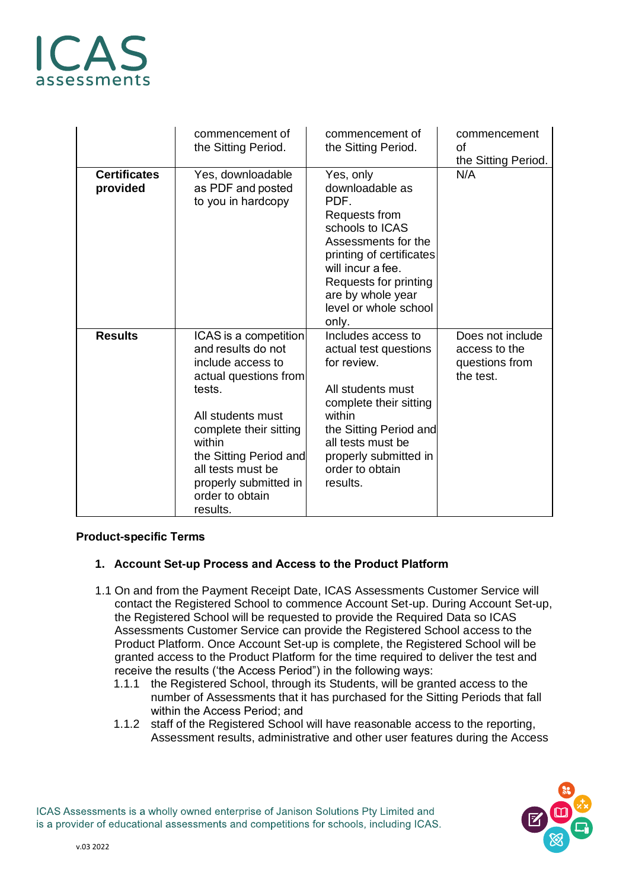# AS ssessments

|                                 | commencement of<br>the Sitting Period.                                                                                                                                                                                                                              | commencement of<br>the Sitting Period.                                                                                                                                                                                           | commencement<br>οf<br>the Sitting Period.                        |
|---------------------------------|---------------------------------------------------------------------------------------------------------------------------------------------------------------------------------------------------------------------------------------------------------------------|----------------------------------------------------------------------------------------------------------------------------------------------------------------------------------------------------------------------------------|------------------------------------------------------------------|
| <b>Certificates</b><br>provided | Yes, downloadable<br>as PDF and posted<br>to you in hardcopy                                                                                                                                                                                                        | Yes, only<br>downloadable as<br>PDF.<br>Requests from<br>schools to ICAS<br>Assessments for the<br>printing of certificates<br>will incur a fee.<br>Requests for printing<br>are by whole year<br>level or whole school<br>only. | N/A                                                              |
| <b>Results</b>                  | ICAS is a competition<br>and results do not<br>include access to<br>actual questions from<br>tests.<br>All students must<br>complete their sitting<br>within<br>the Sitting Period and<br>all tests must be<br>properly submitted in<br>order to obtain<br>results. | Includes access to<br>actual test questions<br>for review.<br>All students must<br>complete their sitting<br>within<br>the Sitting Period and<br>all tests must be<br>properly submitted in<br>order to obtain<br>results.       | Does not include<br>access to the<br>questions from<br>the test. |

#### **Product-specific Terms**

#### **1. Account Set-up Process and Access to the Product Platform**

- 1.1 On and from the Payment Receipt Date, ICAS Assessments Customer Service will contact the Registered School to commence Account Set-up. During Account Set-up, the Registered School will be requested to provide the Required Data so ICAS Assessments Customer Service can provide the Registered School access to the Product Platform. Once Account Set-up is complete, the Registered School will be granted access to the Product Platform for the time required to deliver the test and receive the results ('the Access Period") in the following ways:
	- 1.1.1 the Registered School, through its Students, will be granted access to the number of Assessments that it has purchased for the Sitting Periods that fall within the Access Period; and
	- 1.1.2 staff of the Registered School will have reasonable access to the reporting, Assessment results, administrative and other user features during the Access

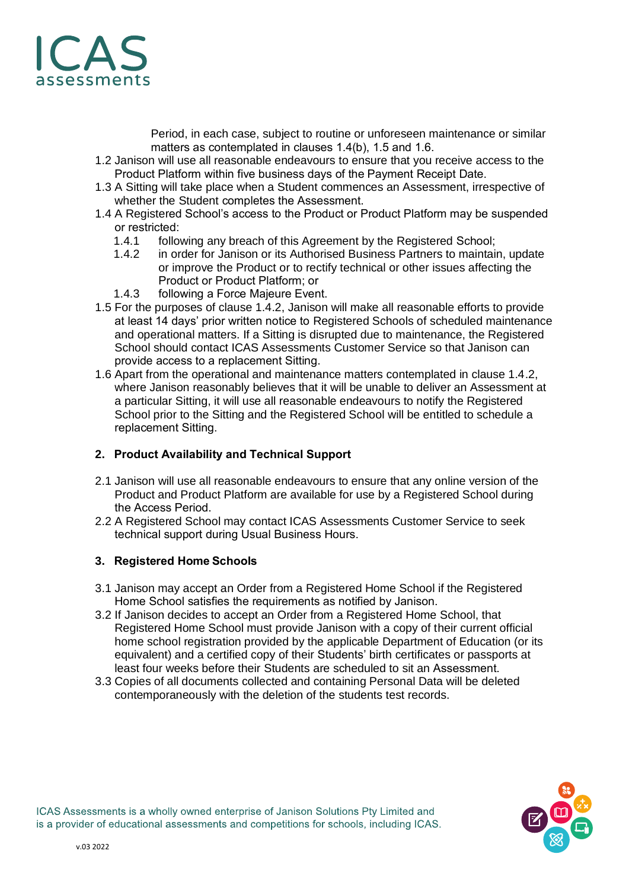

Period, in each case, subject to routine or unforeseen maintenance or similar matters as contemplated in clauses 1.4(b), 1.5 and 1.6.  

- 1.2 Janison will use all reasonable endeavours to ensure that you receive access to the Product Platform within five business days of the Payment Receipt Date.
- 1.3 A Sitting will take place when a Student commences an Assessment, irrespective of whether the Student completes the Assessment.
- 1.4 A Registered School's access to the Product or Product Platform may be suspended or restricted:
	- 1.4.1 following any breach of this Agreement by the Registered School;
	- 1.4.2 in order for Janison or its Authorised Business Partners to maintain, update or improve the Product or to rectify technical or other issues affecting the Product or Product Platform; or
	- 1.4.3 following a Force Majeure Event.
- 1.5 For the purposes of clause 1.4.2, Janison will make all reasonable efforts to provide at least 14 days' prior written notice to Registered Schools of scheduled maintenance and operational matters. If a Sitting is disrupted due to maintenance, the Registered School should contact ICAS Assessments Customer Service so that Janison can provide access to a replacement Sitting.
- 1.6 Apart from the operational and maintenance matters contemplated in clause 1.4.2, where Janison reasonably believes that it will be unable to deliver an Assessment at a particular Sitting, it will use all reasonable endeavours to notify the Registered School prior to the Sitting and the Registered School will be entitled to schedule a replacement Sitting.

#### **2. Product Availability and Technical Support**

- 2.1 Janison will use all reasonable endeavours to ensure that any online version of the Product and Product Platform are available for use by a Registered School during the Access Period.
- 2.2 A Registered School may contact ICAS Assessments Customer Service to seek technical support during Usual Business Hours.

#### **3. Registered Home Schools**

- 3.1 Janison may accept an Order from a Registered Home School if the Registered Home School satisfies the requirements as notified by Janison.
- 3.2 If Janison decides to accept an Order from a Registered Home School, that Registered Home School must provide Janison with a copy of their current official home school registration provided by the applicable Department of Education (or its equivalent) and a certified copy of their Students' birth certificates or passports at least four weeks before their Students are scheduled to sit an Assessment.
- 3.3 Copies of all documents collected and containing Personal Data will be deleted contemporaneously with the deletion of the students test records.

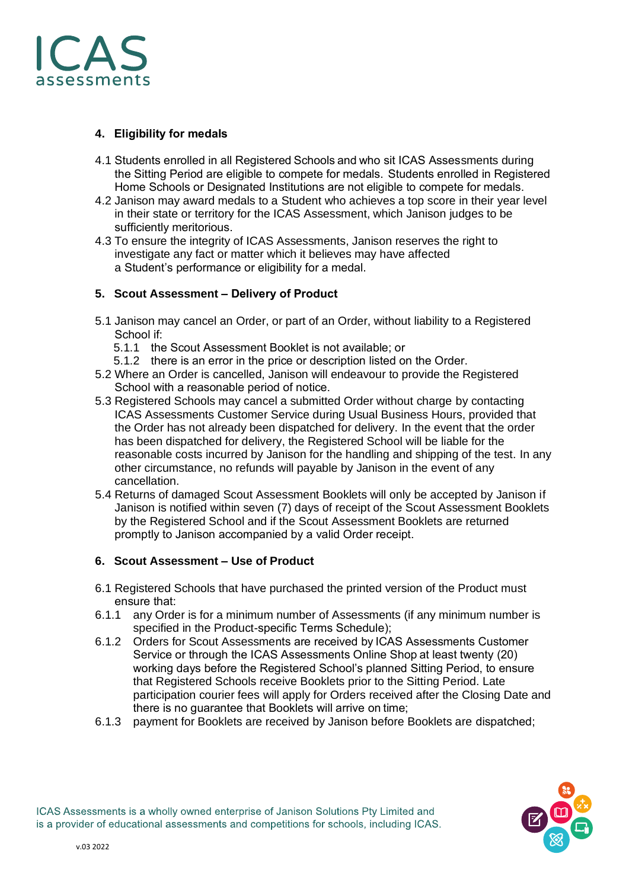

# **4. Eligibility for medals**

- 4.1 Students enrolled in all Registered Schools and who sit ICAS Assessments during the Sitting Period are eligible to compete for medals.  Students enrolled in Registered Home Schools or Designated Institutions are not eligible to compete for medals.
- 4.2 Janison may award medals to a Student who achieves a top score in their year level in their state or territory for the ICAS Assessment, which Janison judges to be sufficiently meritorious.
- 4.3 To ensure the integrity of ICAS Assessments, Janison reserves the right to investigate any fact or matter which it believes may have affected a Student's performance or eligibility for a medal.

# **5. Scout Assessment – Delivery of Product**

- 5.1 Janison may cancel an Order, or part of an Order, without liability to a Registered School if:
	- 5.1.1 the Scout Assessment Booklet is not available; or
	- 5.1.2 there is an error in the price or description listed on the Order.
- 5.2 Where an Order is cancelled, Janison will endeavour to provide the Registered School with a reasonable period of notice.
- 5.3 Registered Schools may cancel a submitted Order without charge by contacting ICAS Assessments Customer Service during Usual Business Hours, provided that the Order has not already been dispatched for delivery. In the event that the order has been dispatched for delivery, the Registered School will be liable for the reasonable costs incurred by Janison for the handling and shipping of the test. In any other circumstance, no refunds will payable by Janison in the event of any cancellation.
- 5.4 Returns of damaged Scout Assessment Booklets will only be accepted by Janison if Janison is notified within seven (7) days of receipt of the Scout Assessment Booklets by the Registered School and if the Scout Assessment Booklets are returned promptly to Janison accompanied by a valid Order receipt.

# **6. Scout Assessment – Use of Product**

- 6.1 Registered Schools that have purchased the printed version of the Product must ensure that:
- 6.1.1 any Order is for a minimum number of Assessments (if any minimum number is specified in the Product-specific Terms Schedule);
- 6.1.2 Orders for Scout Assessments are received by ICAS Assessments Customer Service or through the ICAS Assessments Online Shop at least twenty (20) working days before the Registered School's planned Sitting Period, to ensure that Registered Schools receive Booklets prior to the Sitting Period. Late participation courier fees will apply for Orders received after the Closing Date and there is no guarantee that Booklets will arrive on time;
- 6.1.3 payment for Booklets are received by Janison before Booklets are dispatched;